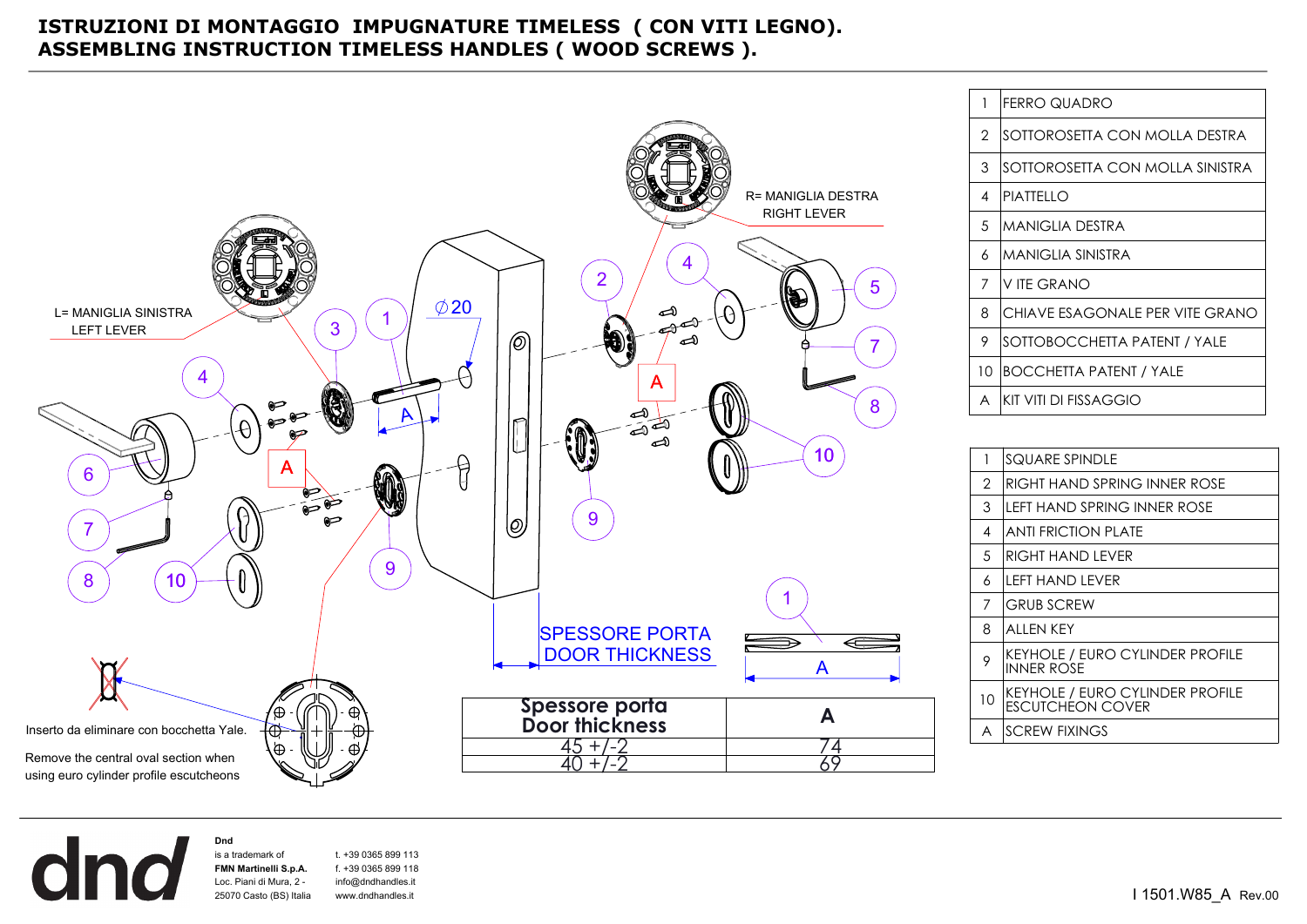## **ISTRUZIONI DI MONTAGGIO IMPUGNATURE TIMELESS ( CON VITI LEGNO). ASSEMBLING INSTRUCTION TIMELESS HANDLES ( WOOD SCREWS ).**



| 1  | <b>FERRO QUADRO</b>             |
|----|---------------------------------|
| 2  | SOTTOROSETTA CON MOLLA DESTRA   |
| 3  | SOTTOROSETTA CON MOLLA SINISTRA |
| 4  | PIATTELLO                       |
| 5  | <b>MANIGLIA DESTRA</b>          |
| 6  | <b>MANIGLIA SINISTRA</b>        |
| 7  | V ITE GRANO                     |
| 8  | CHIAVE ESAGONALE PER VITE GRANO |
| 9  | SOTTOBOCCHETTA PATENT / YALE    |
| 10 | BOCCHETTA PATENT / YALE         |
| A  | KIT VITI DI FISSAGGIO           |
|    |                                 |

| 1  | SQUARE SPINDLE                                                    |
|----|-------------------------------------------------------------------|
| 2  | RIGHT HAND SPRING INNER ROSE                                      |
| 3  | LEFT HAND SPRING INNER ROSE                                       |
| 4  | <b>ANTI FRICTION PLATE</b>                                        |
| .5 | RIGHT HAND I FVFR                                                 |
| 6  | I FFT HAND I FVFR                                                 |
| 7  | <b>GRUB SCREW</b>                                                 |
| 8  | ALLEN KEY                                                         |
| 9  | KEYHOLE / EURO CYLINDER PROFILE<br><b>INNER ROSE</b>              |
| 10 | <b>KEYHOLE / EURO CYLINDER PROFILE</b><br><b>FSCUTCHEON COVER</b> |
| A  | <b>SCREW FIXINGS</b>                                              |

**Dnd**  dna is a trademark of t. +39 0365 899 113 **FMN Martinelli S.p.A.** f. +39 0365 899 118 Loc. Piani di Mura, 2 info@dndhandles.it 25070 Casto (BS) Italiawww.dndhandles.it